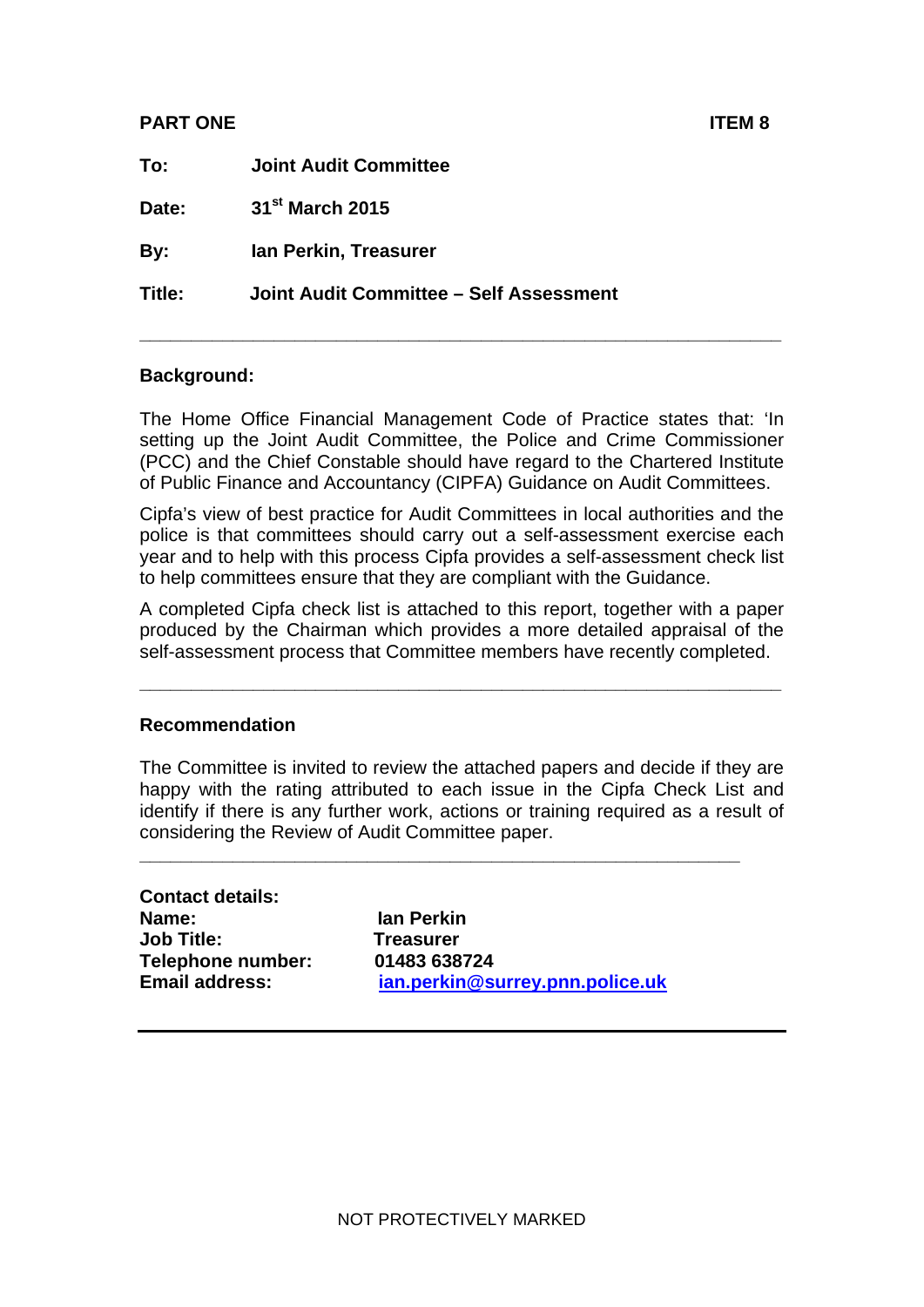#### **PART ONE ITEM 8**

| To:    | <b>Joint Audit Committee</b>            |
|--------|-----------------------------------------|
| Date:  | 31 <sup>st</sup> March 2015             |
| By:    | Ian Perkin, Treasurer                   |
| Title: | Joint Audit Committee - Self Assessment |
|        |                                         |

#### **Background:**

The Home Office Financial Management Code of Practice states that: 'In setting up the Joint Audit Committee, the Police and Crime Commissioner (PCC) and the Chief Constable should have regard to the Chartered Institute of Public Finance and Accountancy (CIPFA) Guidance on Audit Committees.

Cipfa's view of best practice for Audit Committees in local authorities and the police is that committees should carry out a self-assessment exercise each year and to help with this process Cipfa provides a self-assessment check list to help committees ensure that they are compliant with the Guidance.

A completed Cipfa check list is attached to this report, together with a paper produced by the Chairman which provides a more detailed appraisal of the self-assessment process that Committee members have recently completed.

**\_\_\_\_\_\_\_\_\_\_\_\_\_\_\_\_\_\_\_\_\_\_\_\_\_\_\_\_\_\_\_\_\_\_\_\_\_\_\_\_\_\_\_\_\_\_\_\_\_\_\_\_\_\_\_\_\_\_\_\_\_\_** 

#### **Recommendation**

The Committee is invited to review the attached papers and decide if they are happy with the rating attributed to each issue in the Cipfa Check List and identify if there is any further work, actions or training required as a result of considering the Review of Audit Committee paper.

**\_\_\_\_\_\_\_\_\_\_\_\_\_\_\_\_\_\_\_\_\_\_\_\_\_\_\_\_\_\_\_\_\_\_\_\_\_\_\_\_\_\_\_\_\_\_\_\_\_\_\_\_\_\_\_\_\_\_** 

**Contact details: Name: Ian Perkin Job Title: Treasurer Telephone number: 01483 638724** 

**Email address: [ian.perkin@surrey.pnn.police.uk](mailto:ian.perkin@surrey.pnn.police.uk)**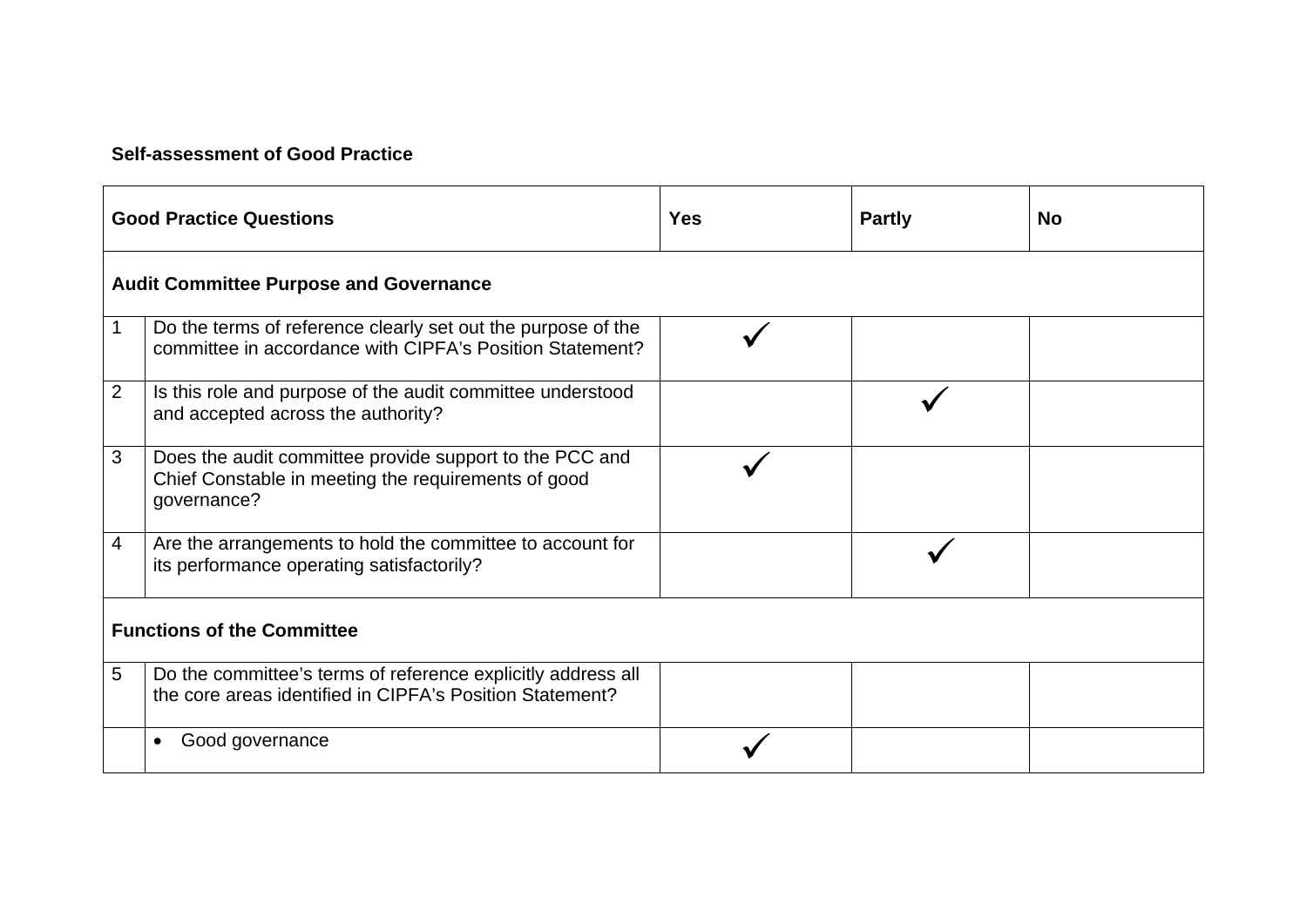#### **Self-assessment of Good Practice**

| <b>Good Practice Questions</b>                |                                                                                                                               | <b>Yes</b> | <b>Partly</b> | <b>No</b> |
|-----------------------------------------------|-------------------------------------------------------------------------------------------------------------------------------|------------|---------------|-----------|
| <b>Audit Committee Purpose and Governance</b> |                                                                                                                               |            |               |           |
|                                               | Do the terms of reference clearly set out the purpose of the<br>committee in accordance with CIPFA's Position Statement?      |            |               |           |
| $\overline{2}$                                | Is this role and purpose of the audit committee understood<br>and accepted across the authority?                              |            |               |           |
| 3                                             | Does the audit committee provide support to the PCC and<br>Chief Constable in meeting the requirements of good<br>governance? |            |               |           |
| 4                                             | Are the arrangements to hold the committee to account for<br>its performance operating satisfactorily?                        |            |               |           |
| <b>Functions of the Committee</b>             |                                                                                                                               |            |               |           |
| 5                                             | Do the committee's terms of reference explicitly address all<br>the core areas identified in CIPFA's Position Statement?      |            |               |           |
|                                               | Good governance                                                                                                               |            |               |           |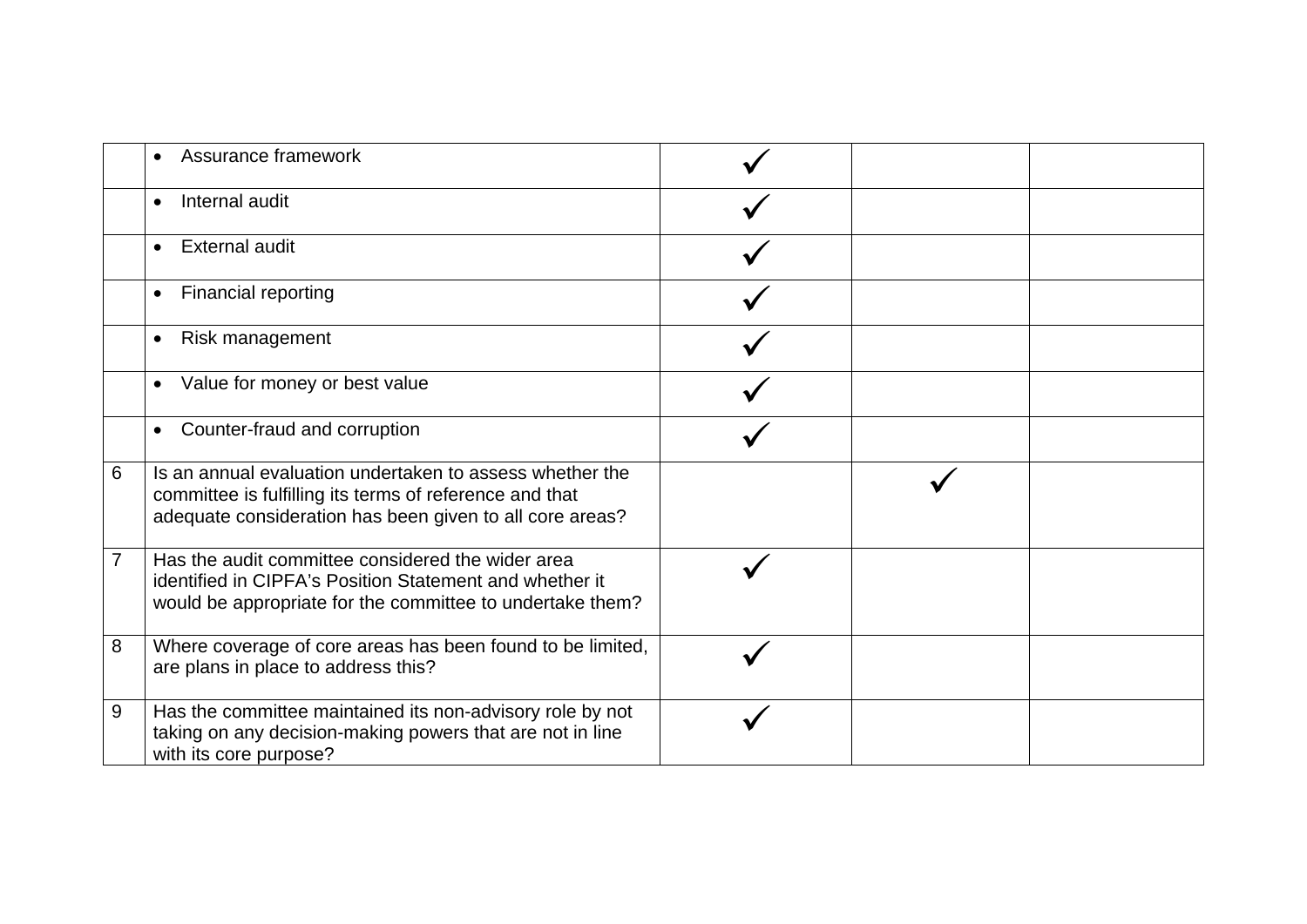|   | Assurance framework                                                                                                                                                             |  |  |
|---|---------------------------------------------------------------------------------------------------------------------------------------------------------------------------------|--|--|
|   | Internal audit<br>$\bullet$                                                                                                                                                     |  |  |
|   | <b>External audit</b><br>$\bullet$                                                                                                                                              |  |  |
|   | Financial reporting<br>$\bullet$                                                                                                                                                |  |  |
|   | Risk management<br>$\bullet$                                                                                                                                                    |  |  |
|   | Value for money or best value<br>$\bullet$                                                                                                                                      |  |  |
|   | Counter-fraud and corruption<br>$\bullet$                                                                                                                                       |  |  |
| 6 | Is an annual evaluation undertaken to assess whether the<br>committee is fulfilling its terms of reference and that<br>adequate consideration has been given to all core areas? |  |  |
| 7 | Has the audit committee considered the wider area<br>identified in CIPFA's Position Statement and whether it<br>would be appropriate for the committee to undertake them?       |  |  |
| 8 | Where coverage of core areas has been found to be limited,<br>are plans in place to address this?                                                                               |  |  |
| 9 | Has the committee maintained its non-advisory role by not<br>taking on any decision-making powers that are not in line<br>with its core purpose?                                |  |  |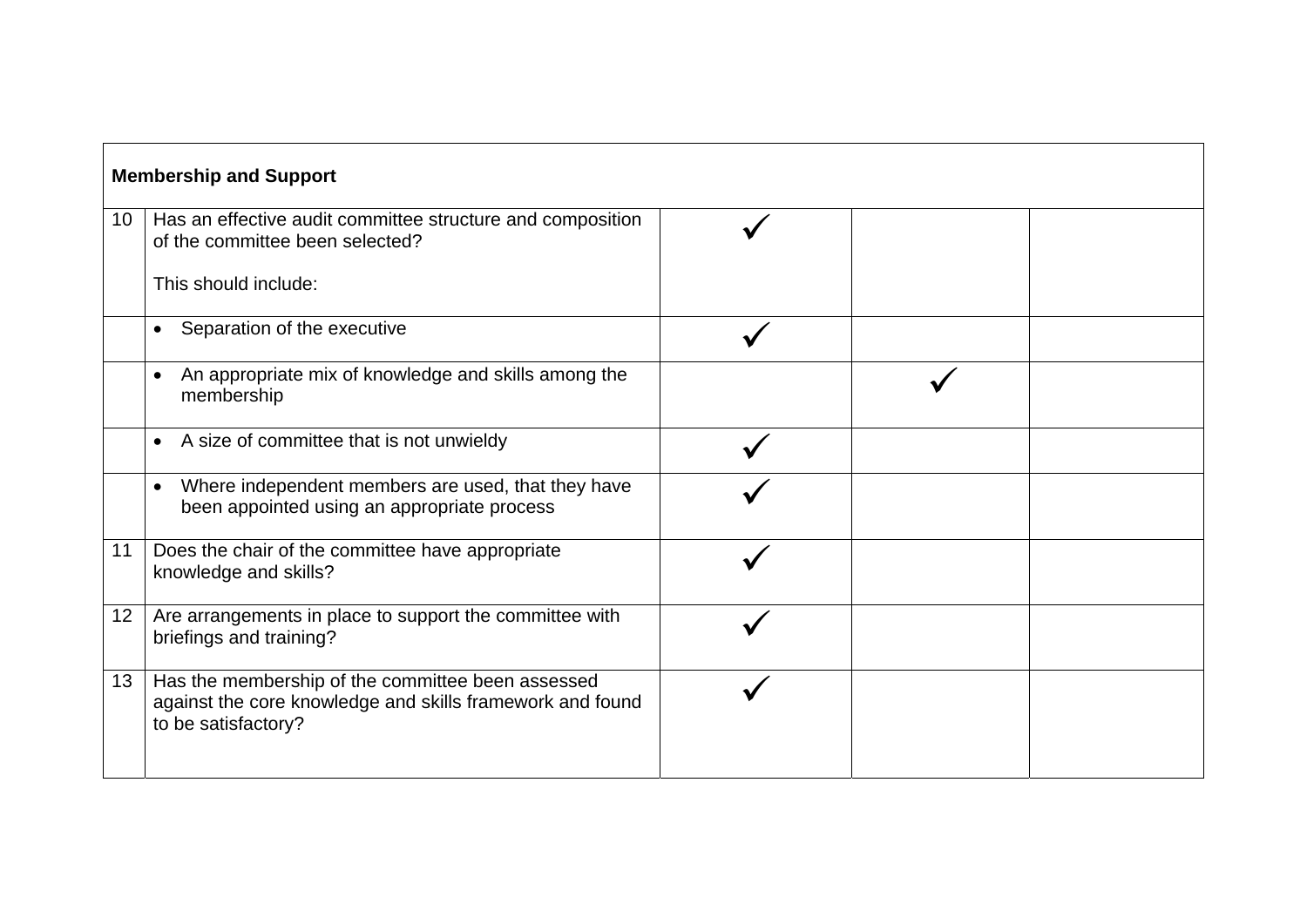| <b>Membership and Support</b> |                                                                                                                                       |  |  |  |
|-------------------------------|---------------------------------------------------------------------------------------------------------------------------------------|--|--|--|
| 10 <sup>1</sup>               | Has an effective audit committee structure and composition<br>of the committee been selected?                                         |  |  |  |
|                               | This should include:                                                                                                                  |  |  |  |
|                               | Separation of the executive                                                                                                           |  |  |  |
|                               | An appropriate mix of knowledge and skills among the<br>membership                                                                    |  |  |  |
|                               | A size of committee that is not unwieldy<br>$\bullet$                                                                                 |  |  |  |
|                               | Where independent members are used, that they have<br>$\bullet$<br>been appointed using an appropriate process                        |  |  |  |
| 11                            | Does the chair of the committee have appropriate<br>knowledge and skills?                                                             |  |  |  |
| 12 <sup>2</sup>               | Are arrangements in place to support the committee with<br>briefings and training?                                                    |  |  |  |
| 13 <sup>°</sup>               | Has the membership of the committee been assessed<br>against the core knowledge and skills framework and found<br>to be satisfactory? |  |  |  |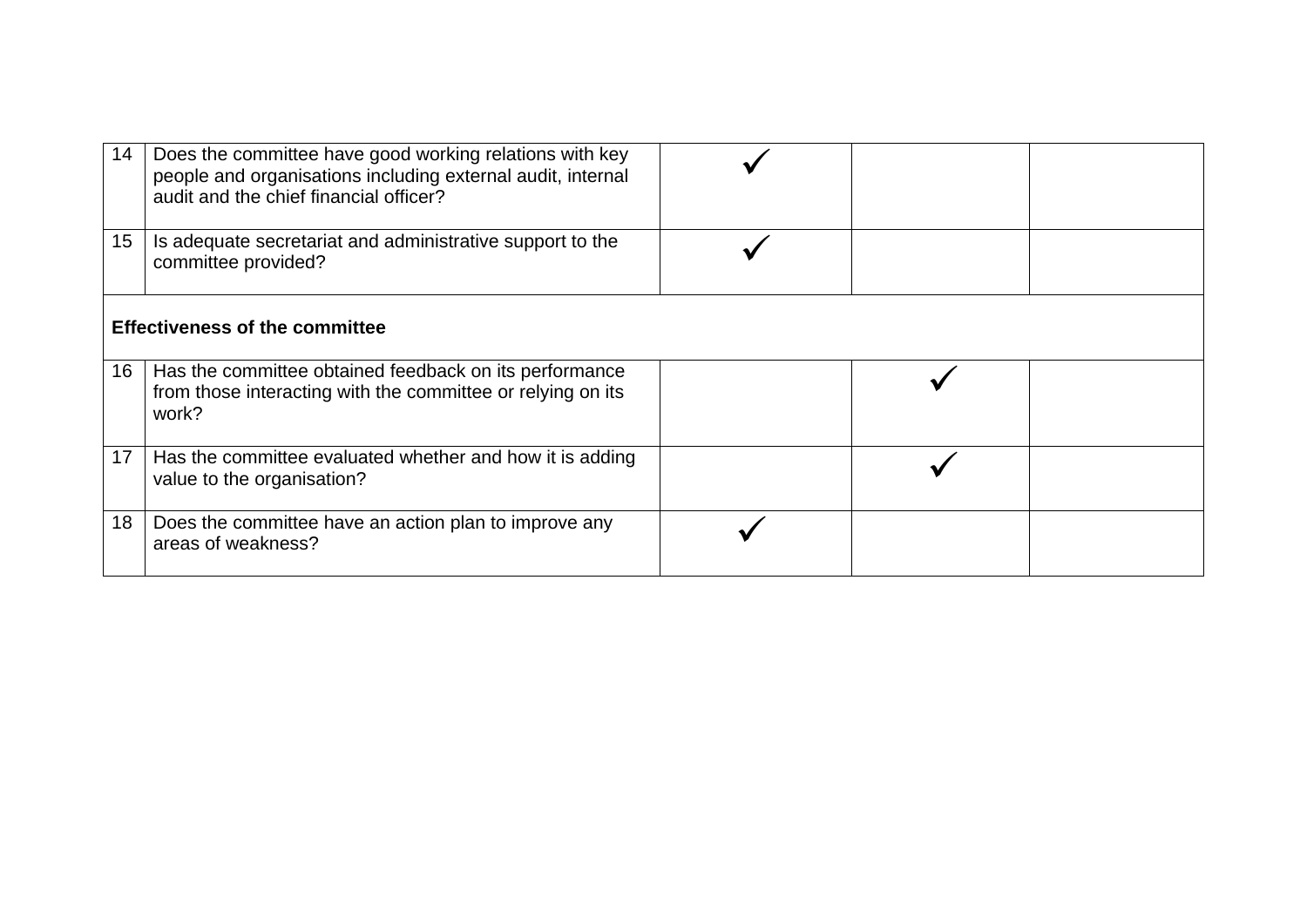| 14              | Does the committee have good working relations with key<br>people and organisations including external audit, internal<br>audit and the chief financial officer? |  |  |  |
|-----------------|------------------------------------------------------------------------------------------------------------------------------------------------------------------|--|--|--|
| 15 <sub>1</sub> | Is adequate secretariat and administrative support to the<br>committee provided?                                                                                 |  |  |  |
|                 | <b>Effectiveness of the committee</b>                                                                                                                            |  |  |  |
| 16 <sup>1</sup> | Has the committee obtained feedback on its performance<br>from those interacting with the committee or relying on its<br>work?                                   |  |  |  |
| 17 <sup>2</sup> | Has the committee evaluated whether and how it is adding<br>value to the organisation?                                                                           |  |  |  |
| 18              | Does the committee have an action plan to improve any<br>areas of weakness?                                                                                      |  |  |  |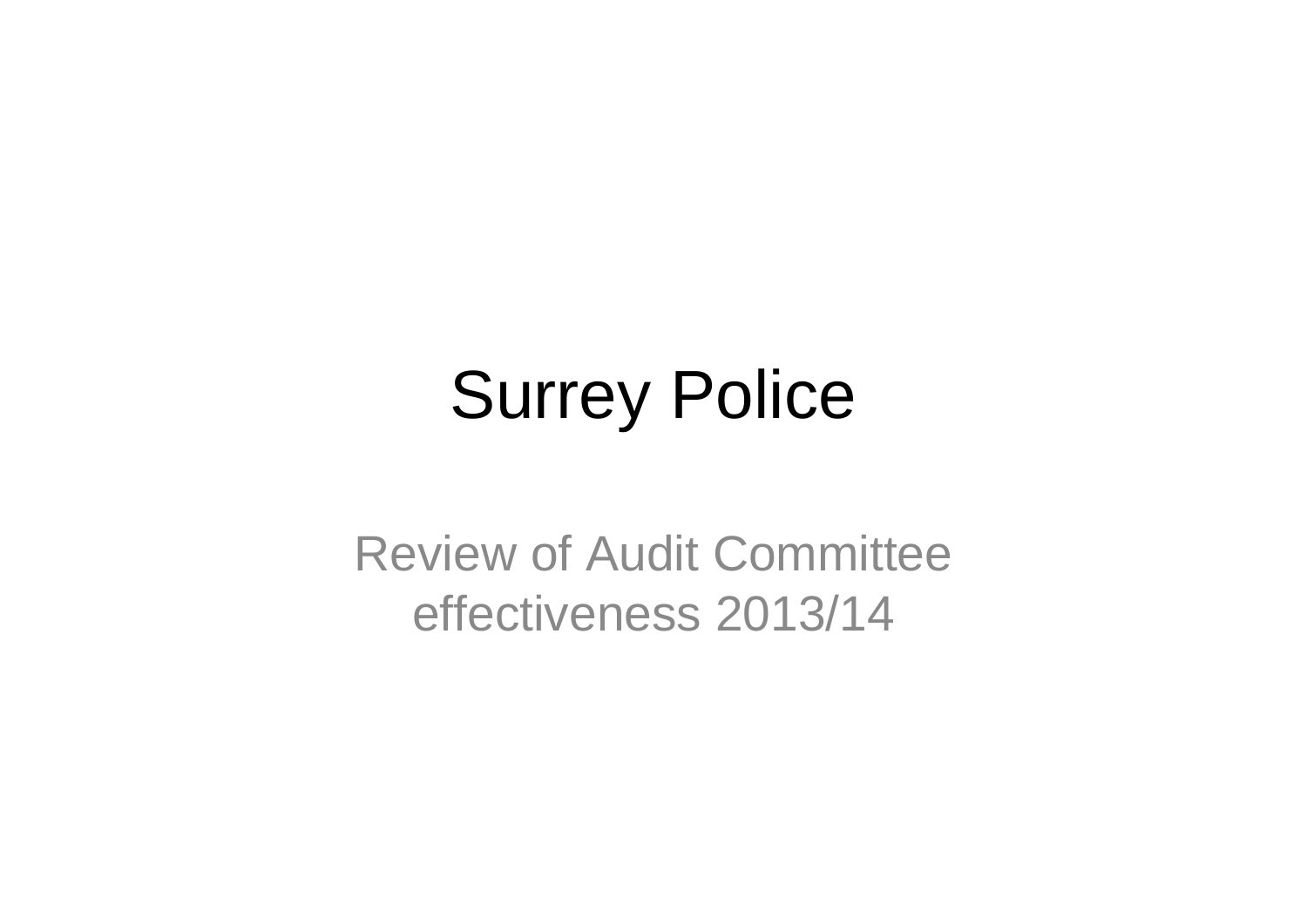# Surrey Police

Review of Audit Committee effectiveness 2013/14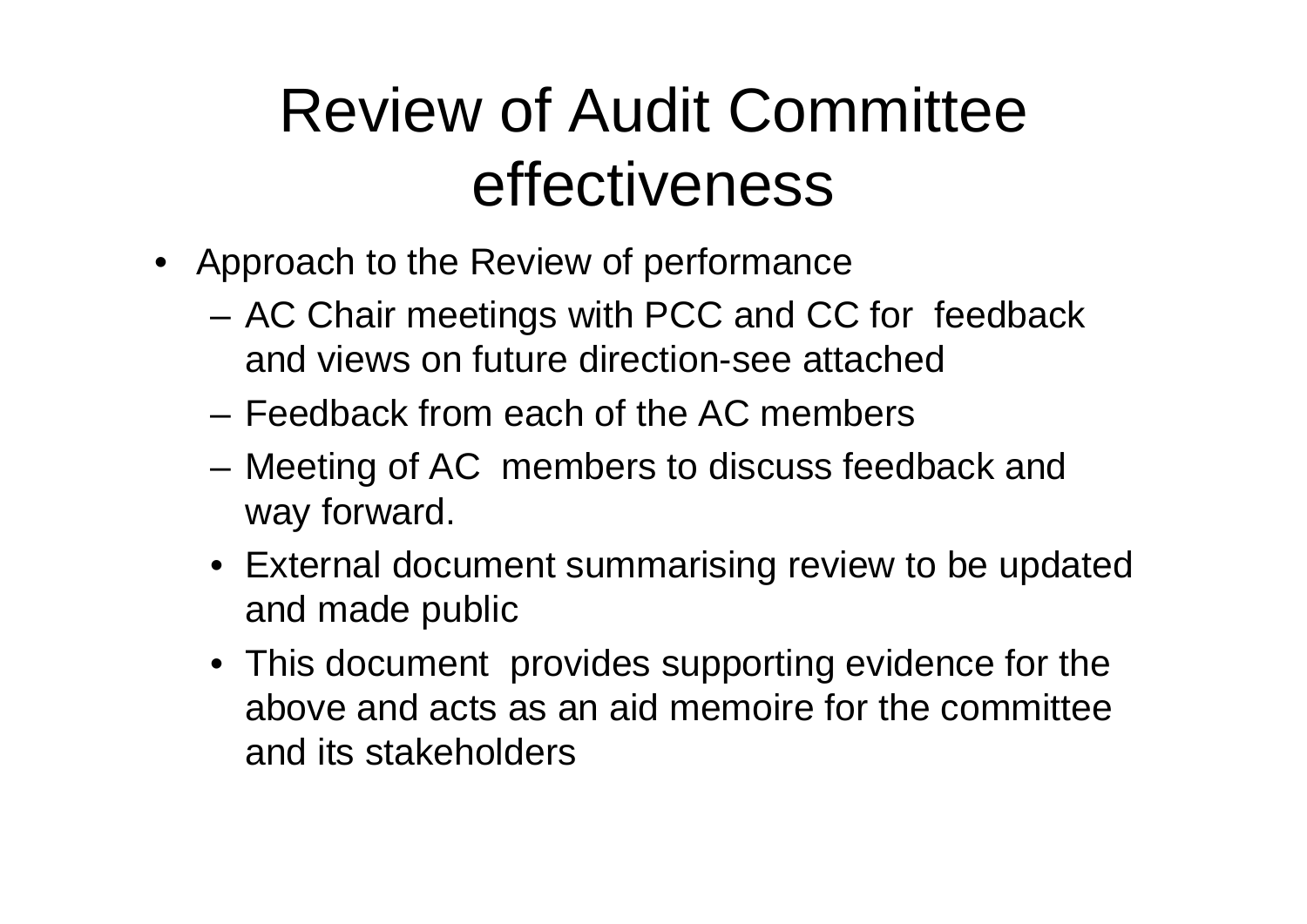### Review of Audit Committee effectiveness

- Approach to the Review of performance
	- and the state of the AC Chair meetings with PCC and CC for feedback and views on future direction-see attached
	- Feedback from each of the AC members
	- **Links of the Company**  Meeting of AC members to discuss feedback and way forward.
	- External document summarising review to be updated and made public
	- This document provides supporting evidence for the above and acts as an aid memoire for the committee and its stakeholders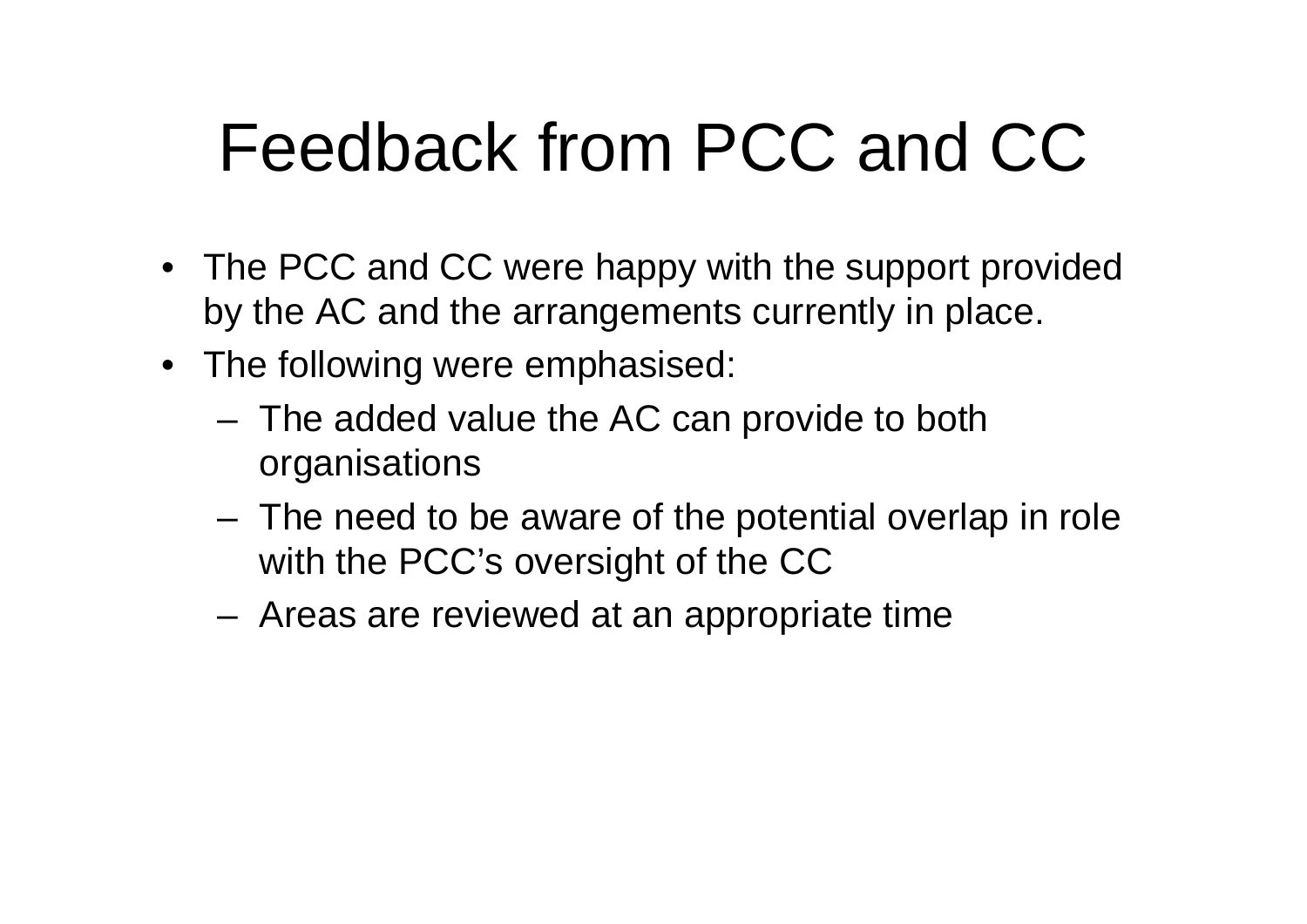## Feedback from PCC and CC

- The PCC and CC were happy with the support provided by the AC and the arrangements currently in place.
- The following were emphasised:
	- **Links of the Company**  The added value the AC can provide to both organisations
	- – The need to be aware of the potential overlap in role with the PCC's oversight of the CC
	- and the state of the Areas are reviewed at an appropriate time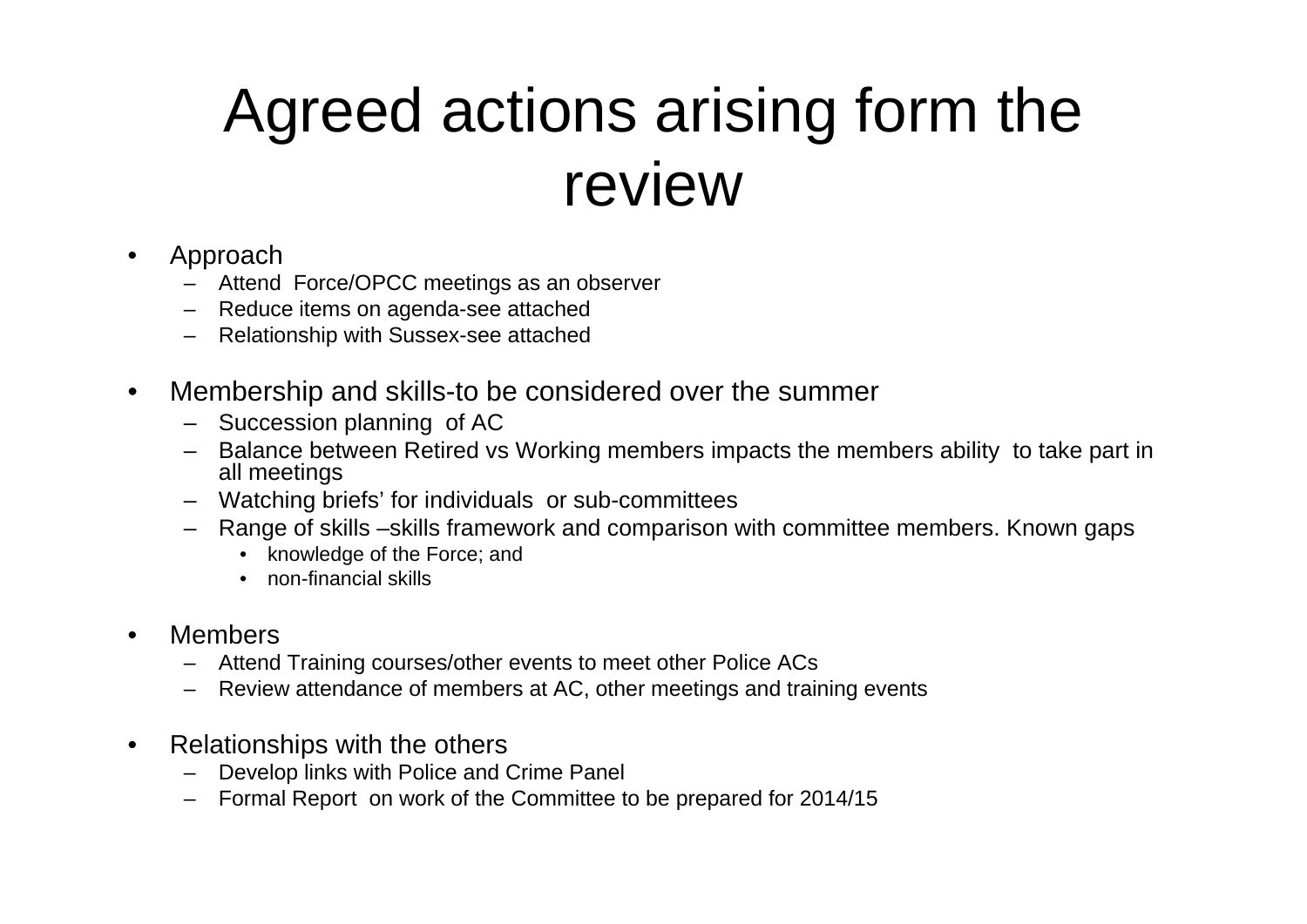### Agreed actions arising form the review

- • Approach
	- Attend Force/OPCC meetings as an observer
	- Reduce items on agenda-see attached
	- –Relationship with Sussex-see attached
- • Membership and skills-to be considered over the summer
	- Succession planning of AC
	- Balance between Retired vs Working members impacts the members ability to take part in all meetings
	- Watching briefs' for individuals or sub-committees
	- Range of skills –skills framework and comparison with committee members. Known gaps
		- knowledge of the Force; and
		- non-financial skills
- • Members
	- Attend Training courses/other events to meet other Police ACs
	- –Review attendance of members at AC, other meetings and training events
- • Relationships with the others
	- –Develop links with Police and Crime Panel
	- –Formal Report on work of the Committee to be prepared for 2014/15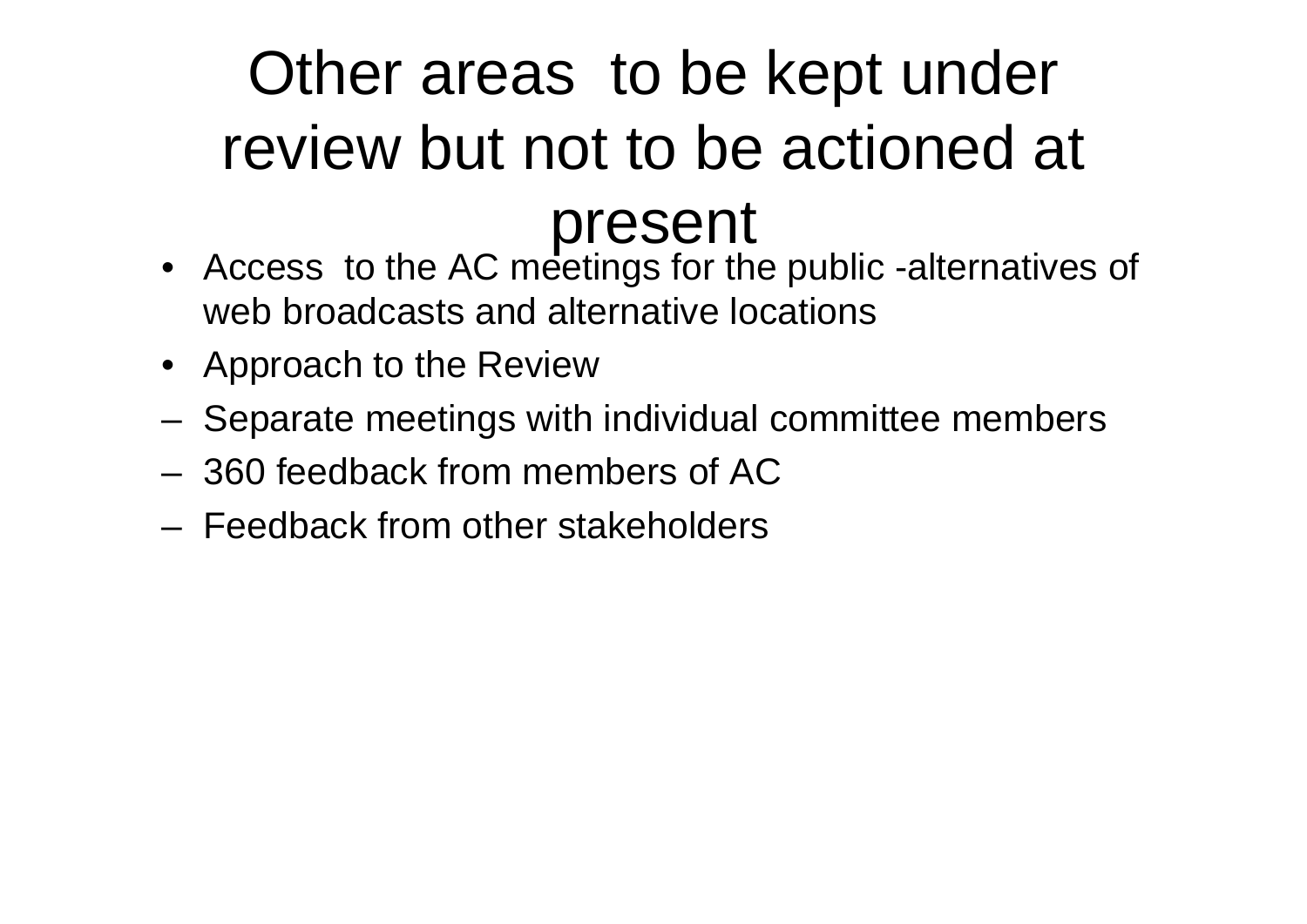### Other areas to be kept under review but not to be actioned at present

- Access to the AC meetings for the public -alternatives of web broadcasts and alternative locations
- Approach to the Review
- **Links of the Company** Separate meetings with individual committee members
- 360 feedback from members of AC
- Feedback from other stakeholders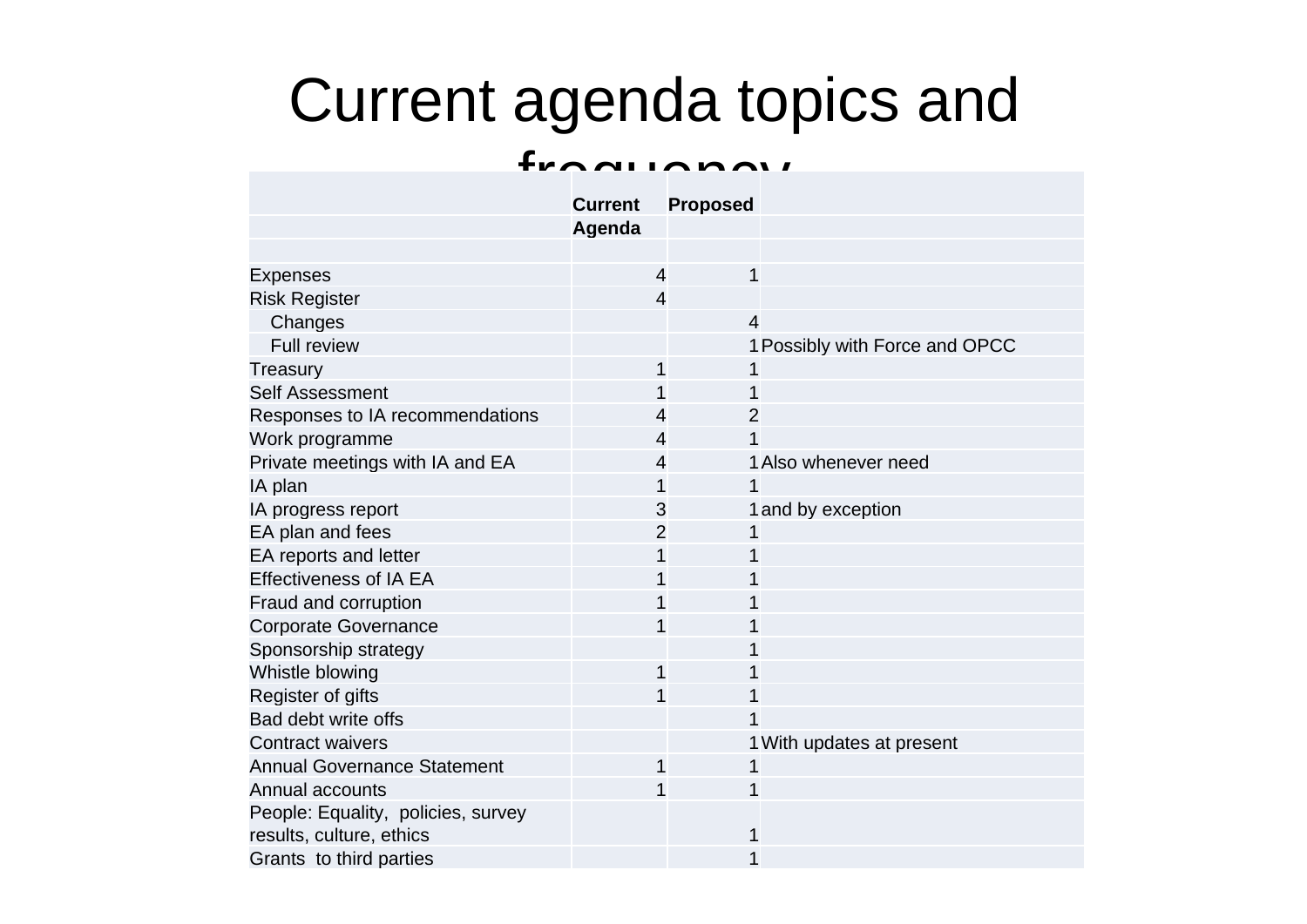### Current agenda topics and

#### fraquiano<sub>1</sub>

|                                    | <b>Current</b> | <b>Proposed</b> |                                |
|------------------------------------|----------------|-----------------|--------------------------------|
|                                    | Agenda         |                 |                                |
|                                    |                |                 |                                |
| <b>Expenses</b>                    | $\overline{4}$ | 1               |                                |
| <b>Risk Register</b>               | $\overline{4}$ |                 |                                |
| Changes                            |                | $\overline{4}$  |                                |
| <b>Full review</b>                 |                |                 | 1 Possibly with Force and OPCC |
| Treasury                           | 1              | 1               |                                |
| <b>Self Assessment</b>             |                | 1               |                                |
| Responses to IA recommendations    | 4              | $\overline{2}$  |                                |
| Work programme                     | 4              | 1               |                                |
| Private meetings with IA and EA    | 4              |                 | 1 Also whenever need           |
| IA plan                            |                | 1               |                                |
| IA progress report                 | 3              |                 | 1 and by exception             |
| EA plan and fees                   | 2              | 1               |                                |
| EA reports and letter              | 1              | 1               |                                |
| <b>Effectiveness of IA EA</b>      |                | 1               |                                |
| Fraud and corruption               |                | 1               |                                |
| <b>Corporate Governance</b>        |                | 1               |                                |
| Sponsorship strategy               |                |                 |                                |
| Whistle blowing                    | 1              |                 |                                |
| Register of gifts                  | 1              | 1               |                                |
| Bad debt write offs                |                | 1               |                                |
| <b>Contract waivers</b>            |                |                 | 1 With updates at present      |
| <b>Annual Governance Statement</b> | 1              | 1               |                                |
| Annual accounts                    |                | 1               |                                |
| People: Equality, policies, survey |                |                 |                                |
| results, culture, ethics           |                | 1               |                                |
| Grants to third parties            |                | 1               |                                |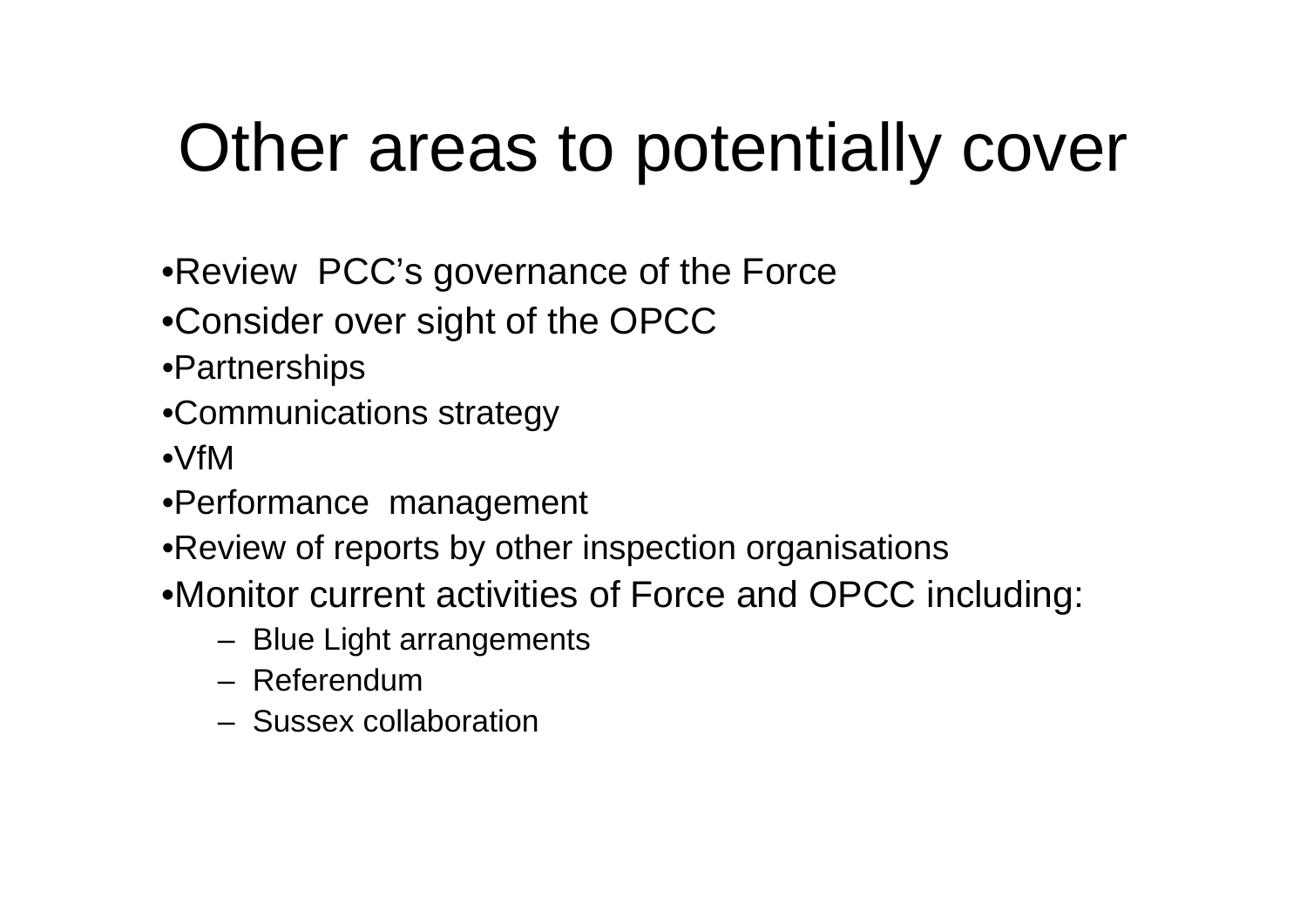## Other areas to potentially cover

- •Review PCC's governance of the Force
- •Consider over sight of the OPCC
- •Partnerships
- •Communications strategy
- •VfM
- •Performance management
- •Review of reports by other inspection organisations
- •Monitor current activities of Force and OPCC including:
	- Blue Light arrangements
	- Referendum
	- Sussex collaboration